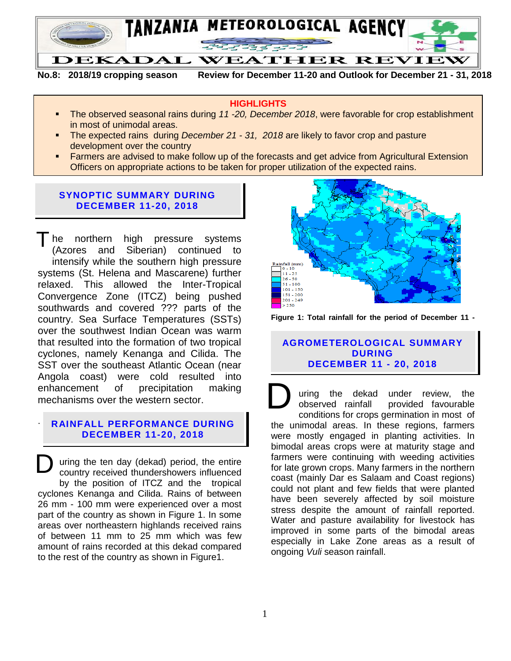

**No.8: 2018/19 cropping season Review for December 11-20 and Outlook for December 21 - 31, 2018**

#### **HIGHLIGHTS**

- The observed seasonal rains during *11 -20, December 2018*, were favorable for crop establishment in most of unimodal areas.
- The expected rains during *December 21 - 31, 2018* are likely to favor crop and pasture development over the country
- Farmers are advised to make follow up of the forecasts and get advice from Agricultural Extension Officers on appropriate actions to be taken for proper utilization of the expected rains.

### **SYNOPTIC SUMMARY DURING DECEMBER 11-20, 2018**

The northern high pressure systems (Azores and Siberian) continued to intensify while the southern high pressure systems (St. Helena and Mascarene) further relaxed. This allowed the Inter-Tropical Convergence Zone (ITCZ) being pushed southwards and covered ??? parts of the country. Sea Surface Temperatures (SSTs) over the southwest Indian Ocean was warm that resulted into the formation of two tropical cyclones, namely Kenanga and Cilida. The SST over the southeast Atlantic Ocean (near Angola coast) were cold resulted into enhancement of precipitation making mechanisms over the western sector.

#### . **RAINFALL PERFORMANCE DURING DECEMBER 11-20, 2018**

.

uring the ten day (dekad) period, the entire country received thundershowers influenced by the position of ITCZ and the tropical cyclones Kenanga and Cilida. Rains of between 26 mm - 100 mm were experienced over a most part of the country as shown in Figure 1. In some areas over northeastern highlands received rains of between 11 mm to 25 mm which was few amount of rains recorded at this dekad compared to the rest of the country as shown in Figure1. D



**Figure 1: Total rainfall for the period of December 11 -**

#### **AGROMETEROLOGICAL SUMMARY DURING DECEMBER 11 - 20, 2018**

uring the dekad under review, the observed rainfall provided favourable conditions for crops germination in most of the unimodal areas. In these regions, farmers were mostly engaged in planting activities. In bimodal areas crops were at maturity stage and farmers were continuing with weeding activities for late grown crops. Many farmers in the northern coast (mainly Dar es Salaam and Coast regions) could not plant and few fields that were planted have been severely affected by soil moisture stress despite the amount of rainfall reported. Water and pasture availability for livestock has improved in some parts of the bimodal areas especially in Lake Zone areas as a result of ongoing *Vuli* season rainfall. D